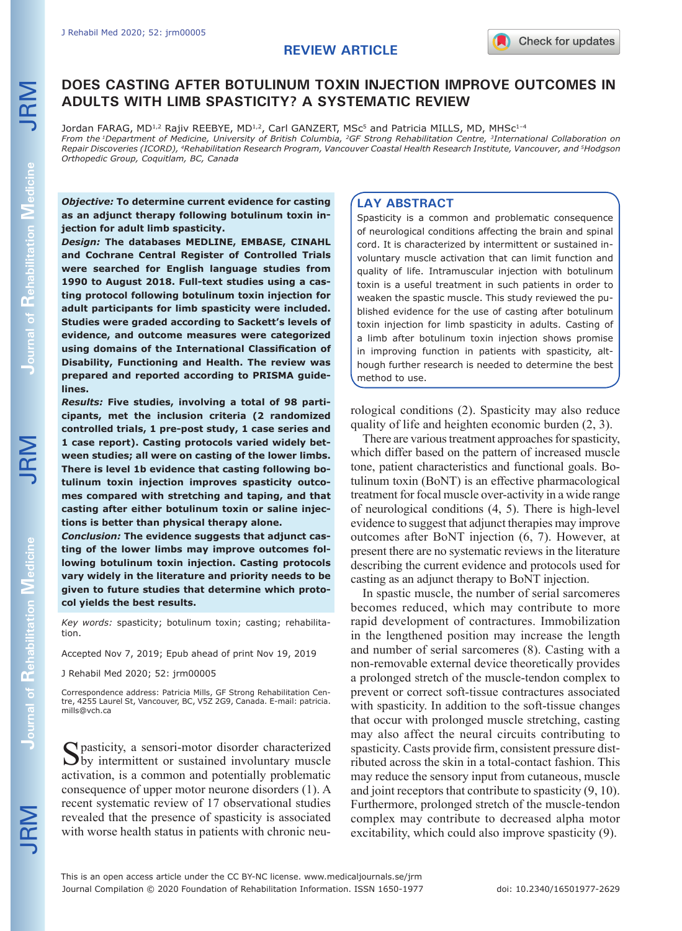# **REVIEW ARTICLE**

# **DOES CASTING AFTER BOTULINUM TOXIN INJECTION IMPROVE OUTCOMES IN ADULTS WITH LIMB SPASTICITY? A SYSTEMATIC REVIEW**

Jordan FARAG, MD<sup>1,2</sup> Rajiv REEBYE, MD<sup>1,2</sup>, Carl GANZERT, MSc<sup>5</sup> and Patricia MILLS, MD, MHSc<sup>1-4</sup> *From the 1Department of Medicine, University of British Columbia, 2GF Strong Rehabilitation Centre, 3International Collaboration on Repair Discoveries (ICORD), 4Rehabilitation Research Program, Vancouver Coastal Health Research Institute, Vancouver, and 5Hodgson Orthopedic Group, Coquitlam, BC, Canada*

### *Objective:* **To determine current evidence for casting as an adjunct therapy following botulinum toxin injection for adult limb spasticity.**

*Design:* **The databases MEDLINE, EMBASE, CINAHL and Cochrane Central Register of Controlled Trials were searched for English language studies from 1990 to August 2018. Full-text studies using a casting protocol following botulinum toxin injection for adult participants for limb spasticity were included. Studies were graded according to Sackett's levels of evidence, and outcome measures were categorized using domains of the International Classification of Disability, Functioning and Health. The review was prepared and reported according to PRISMA guidelines.**

*Results:* **Five studies, involving a total of 98 participants, met the inclusion criteria (2 randomized controlled trials, 1 pre-post study, 1 case series and 1 case report). Casting protocols varied widely between studies; all were on casting of the lower limbs. There is level 1b evidence that casting following botulinum toxin injection improves spasticity outcomes compared with stretching and taping, and that casting after either botulinum toxin or saline injections is better than physical therapy alone.** 

*Conclusion:* **The evidence suggests that adjunct casting of the lower limbs may improve outcomes following botulinum toxin injection. Casting protocols vary widely in the literature and priority needs to be given to future studies that determine which protocol yields the best results.** 

*Key words:* spasticity; botulinum toxin; casting; rehabilitation.

Accepted Nov 7, 2019; Epub ahead of print Nov 19, 2019

J Rehabil Med 2020; 52: jrm00005

Correspondence address: Patricia Mills, GF Strong Rehabilitation Centre, 4255 Laurel St, Vancouver, BC, V5Z 2G9, Canada. E-mail: patricia. mills@vch.ca

Spasticity, a sensori-motor disorder characterized<br>by intermittent or sustained involuntary muscle activation, is a common and potentially problematic consequence of upper motor neurone disorders (1). A recent systematic review of 17 observational studies revealed that the presence of spasticity is associated with worse health status in patients with chronic neu-

# **LAY ABSTRACT**

Spasticity is a common and problematic consequence of neurological conditions affecting the brain and spinal cord. It is characterized by intermittent or sustained involuntary muscle activation that can limit function and quality of life. Intramuscular injection with botulinum toxin is a useful treatment in such patients in order to weaken the spastic muscle. This study reviewed the published evidence for the use of casting after botulinum toxin injection for limb spasticity in adults. Casting of a limb after botulinum toxin injection shows promise in improving function in patients with spasticity, although further research is needed to determine the best method to use.

rological conditions (2). Spasticity may also reduce quality of life and heighten economic burden (2, 3).

There are various treatment approaches for spasticity, which differ based on the pattern of increased muscle tone, patient characteristics and functional goals. Botulinum toxin (BoNT) is an effective pharmacological treatment for focal muscle over-activity in a wide range of neurological conditions (4, 5). There is high-level evidence to suggest that adjunct therapies may improve outcomes after BoNT injection (6, 7). However, at present there are no systematic reviews in the literature describing the current evidence and protocols used for casting as an adjunct therapy to BoNT injection.

In spastic muscle, the number of serial sarcomeres becomes reduced, which may contribute to more rapid development of contractures. Immobilization in the lengthened position may increase the length and number of serial sarcomeres (8). Casting with a non-removable external device theoretically provides a prolonged stretch of the muscle-tendon complex to prevent or correct soft-tissue contractures associated with spasticity. In addition to the soft-tissue changes that occur with prolonged muscle stretching, casting may also affect the neural circuits contributing to spasticity. Casts provide firm, consistent pressure distributed across the skin in a total-contact fashion. This may reduce the sensory input from cutaneous, muscle and joint receptors that contribute to spasticity (9, 10). Furthermore, prolonged stretch of the muscle-tendon complex may contribute to decreased alpha motor excitability, which could also improve spasticity (9).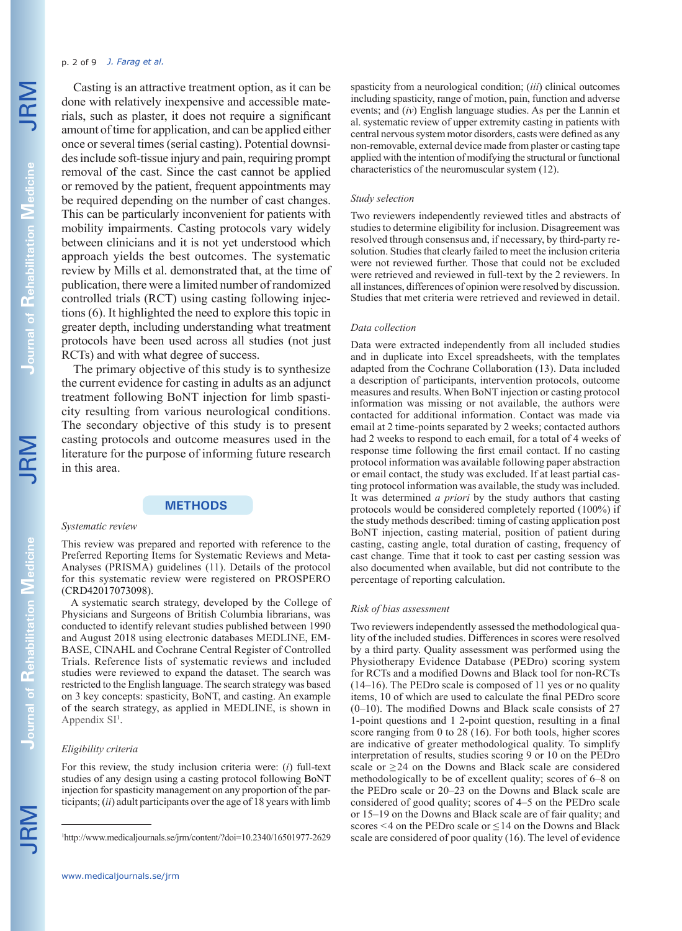### p. 2 of 9 *J. Farag et al.*

Casting is an attractive treatment option, as it can be done with relatively inexpensive and accessible materials, such as plaster, it does not require a significant amount of time for application, and can be applied either once or several times (serial casting). Potential downsides include soft-tissue injury and pain, requiring prompt removal of the cast. Since the cast cannot be applied or removed by the patient, frequent appointments may be required depending on the number of cast changes. This can be particularly inconvenient for patients with mobility impairments. Casting protocols vary widely between clinicians and it is not yet understood which approach yields the best outcomes. The systematic review by Mills et al. demonstrated that, at the time of publication, there were a limited number of randomized controlled trials (RCT) using casting following injections (6). It highlighted the need to explore this topic in greater depth, including understanding what treatment protocols have been used across all studies (not just RCTs) and with what degree of success.

The primary objective of this study is to synthesize the current evidence for casting in adults as an adjunct treatment following BoNT injection for limb spasticity resulting from various neurological conditions. The secondary objective of this study is to present casting protocols and outcome measures used in the literature for the purpose of informing future research in this area.

# **METHODS**

### *Systematic review*

This review was prepared and reported with reference to the Preferred Reporting Items for Systematic Reviews and Meta-Analyses (PRISMA) guidelines (11). Details of the protocol for this systematic review were registered on PROSPERO (CRD42017073098).

A systematic search strategy, developed by the College of Physicians and Surgeons of British Columbia librarians, was conducted to identify relevant studies published between 1990 and August 2018 using electronic databases MEDLINE, EM-BASE, CINAHL and Cochrane Central Register of Controlled Trials. Reference lists of systematic reviews and included studies were reviewed to expand the dataset. The search was restricted to the English language. The search strategy was based on 3 key concepts: spasticity, BoNT, and casting. An example of the search strategy, as applied in MEDLINE, is shown in Appendix SI<sup>1</sup>.

#### *Eligibility criteria*

For this review, the study inclusion criteria were: (*i*) full-text studies of any design using a casting protocol following BoNT injection for spasticity management on any proportion of the participants; (*ii*) adult participants over the age of 18 years with limb spasticity from a neurological condition; (*iii*) clinical outcomes including spasticity, range of motion, pain, function and adverse events; and (*iv*) English language studies. As per the Lannin et al. systematic review of upper extremity casting in patients with central nervous system motor disorders, casts were defined as any non-removable, external device made from plaster or casting tape applied with the intention of modifying the structural or functional characteristics of the neuromuscular system (12).

### *Study selection*

Two reviewers independently reviewed titles and abstracts of studies to determine eligibility for inclusion. Disagreement was resolved through consensus and, if necessary, by third-party resolution. Studies that clearly failed to meet the inclusion criteria were not reviewed further. Those that could not be excluded were retrieved and reviewed in full-text by the 2 reviewers. In all instances, differences of opinion were resolved by discussion. Studies that met criteria were retrieved and reviewed in detail.

#### *Data collection*

Data were extracted independently from all included studies and in duplicate into Excel spreadsheets, with the templates adapted from the Cochrane Collaboration (13). Data included a description of participants, intervention protocols, outcome measures and results. When BoNT injection or casting protocol information was missing or not available, the authors were contacted for additional information. Contact was made via email at 2 time-points separated by 2 weeks; contacted authors had 2 weeks to respond to each email, for a total of 4 weeks of response time following the first email contact. If no casting protocol information was available following paper abstraction or email contact, the study was excluded. If at least partial casting protocol information was available, the study was included. It was determined *a priori* by the study authors that casting protocols would be considered completely reported (100%) if the study methods described: timing of casting application post BoNT injection, casting material, position of patient during casting, casting angle, total duration of casting, frequency of cast change. Time that it took to cast per casting session was also documented when available, but did not contribute to the percentage of reporting calculation.

### *Risk of bias assessment*

Two reviewers independently assessed the methodological quality of the included studies. Differences in scores were resolved by a third party. Quality assessment was performed using the Physiotherapy Evidence Database (PEDro) scoring system for RCTs and a modified Downs and Black tool for non-RCTs (14–16). The PEDro scale is composed of 11 yes or no quality items, 10 of which are used to calculate the final PEDro score (0–10). The modified Downs and Black scale consists of 27 1-point questions and 1 2-point question, resulting in a final score ranging from 0 to 28 (16). For both tools, higher scores are indicative of greater methodological quality. To simplify interpretation of results, studies scoring 9 or 10 on the PEDro scale or  $\geq$  24 on the Downs and Black scale are considered methodologically to be of excellent quality; scores of 6–8 on the PEDro scale or 20–23 on the Downs and Black scale are considered of good quality; scores of 4–5 on the PEDro scale or 15–19 on the Downs and Black scale are of fair quality; and scores <4 on the PEDro scale or ≤14 on the Downs and Black scale are considered of poor quality  $(16)$ . The level of evidence

JRM

http://www.medicaljournals.se/jrm/content/?doi=10.2340/16501977-2629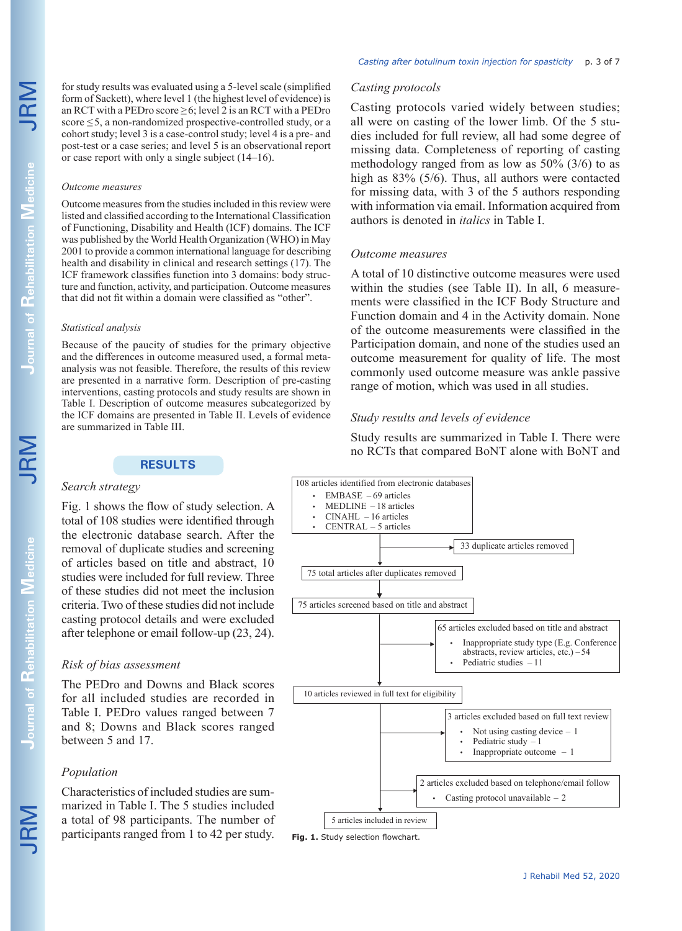for study results was evaluated using a 5-level scale (simplified form of Sackett), where level 1 (the highest level of evidence) is an RCT with a PEDro score  $\geq 6$ ; level 2 is an RCT with a PEDro score  $\leq$  5, a non-randomized prospective-controlled study, or a cohort study; level 3 is a case-control study; level 4 is a pre- and post-test or a case series; and level 5 is an observational report or case report with only a single subject (14–16).

### *Outcome measures*

Outcome measures from the studies included in this review were listed and classified according to the International Classification of Functioning, Disability and Health (ICF) domains. The ICF was published by the World Health Organization (WHO) in May 2001 to provide a common international language for describing health and disability in clinical and research settings (17). The ICF framework classifies function into 3 domains: body structure and function, activity, and participation. Outcome measures that did not fit within a domain were classified as "other".

#### *Statistical analysis*

Because of the paucity of studies for the primary objective and the differences in outcome measured used, a formal metaanalysis was not feasible. Therefore, the results of this review are presented in a narrative form. Description of pre-casting interventions, casting protocols and study results are shown in Table I. Description of outcome measures subcategorized by the ICF domains are presented in Table II. Levels of evidence are summarized in Table III.

# **RESULTS**

### *Search strategy*

Fig. 1 shows the flow of study selection. A total of 108 studies were identified through the electronic database search. After the removal of duplicate studies and screening of articles based on title and abstract, 10 studies were included for full review. Three of these studies did not meet the inclusion criteria. Two of these studies did not include casting protocol details and were excluded after telephone or email follow-up (23, 24).

### *Risk of bias assessment*

The PEDro and Downs and Black scores for all included studies are recorded in Table I. PEDro values ranged between 7 and 8; Downs and Black scores ranged between 5 and 17.

# *Population*

Characteristics of included studies are summarized in Table I. The 5 studies included a total of 98 participants. The number of participants ranged from 1 to 42 per study.

### *Casting protocols*

Casting protocols varied widely between studies; all were on casting of the lower limb. Of the 5 studies included for full review, all had some degree of missing data. Completeness of reporting of casting methodology ranged from as low as 50% (3/6) to as high as 83% (5/6). Thus, all authors were contacted for missing data, with 3 of the 5 authors responding with information via email. Information acquired from authors is denoted in *italics* in Table I.

#### *Outcome measures*

A total of 10 distinctive outcome measures were used within the studies (see Table II). In all, 6 measurements were classified in the ICF Body Structure and Function domain and 4 in the Activity domain. None of the outcome measurements were classified in the Participation domain, and none of the studies used an outcome measurement for quality of life. The most commonly used outcome measure was ankle passive range of motion, which was used in all studies.

# *Study results and levels of evidence*

Study results are summarized in Table I. There were no RCTs that compared BoNT alone with BoNT and



Fig. 1. Study selection flowchart.

JRM

**Journal of** 

**Rehabilitation Journal of Rehabilitation Medicine**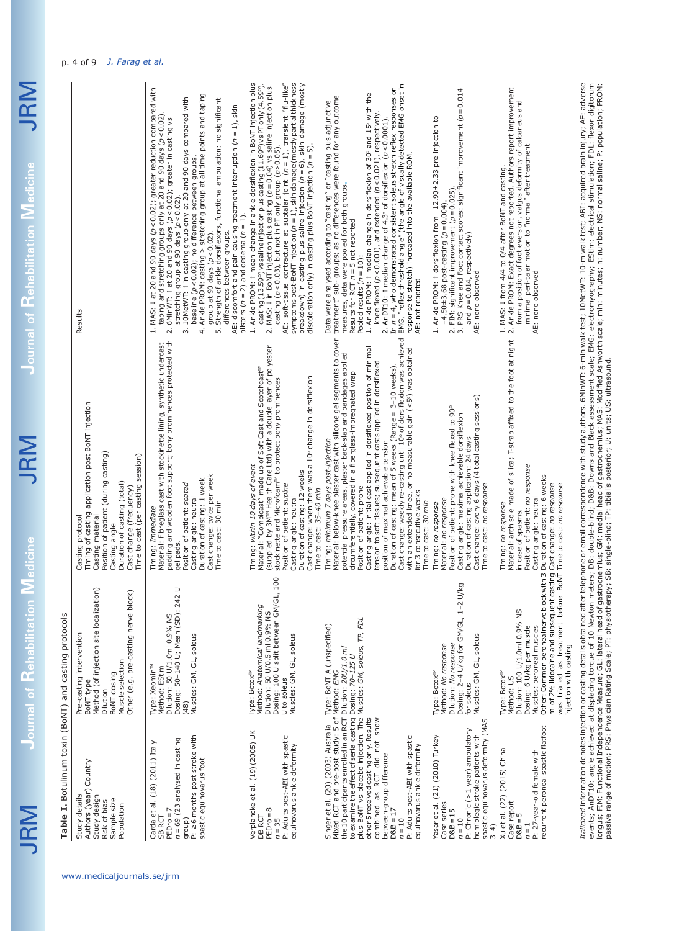| ۰                                                                                                                               |
|---------------------------------------------------------------------------------------------------------------------------------|
| ٠                                                                                                                               |
| 5                                                                                                                               |
| ľ                                                                                                                               |
| œ<br>۹                                                                                                                          |
| h.                                                                                                                              |
| ۰                                                                                                                               |
|                                                                                                                                 |
| <b>Contract Contract Contract Contract Contract Contract Contract Contract Contract Contract Contract Contract Co</b>           |
| ľ<br>٠                                                                                                                          |
| $\mathcal{L}^{\text{max}}_{\text{max}}$ and $\mathcal{L}^{\text{max}}_{\text{max}}$ and $\mathcal{L}^{\text{max}}_{\text{max}}$ |
|                                                                                                                                 |
| P                                                                                                                               |
|                                                                                                                                 |
|                                                                                                                                 |
|                                                                                                                                 |
|                                                                                                                                 |
|                                                                                                                                 |
|                                                                                                                                 |
|                                                                                                                                 |
|                                                                                                                                 |
|                                                                                                                                 |
|                                                                                                                                 |
|                                                                                                                                 |
|                                                                                                                                 |
|                                                                                                                                 |
|                                                                                                                                 |
|                                                                                                                                 |
|                                                                                                                                 |
|                                                                                                                                 |
|                                                                                                                                 |
|                                                                                                                                 |
|                                                                                                                                 |
|                                                                                                                                 |
|                                                                                                                                 |
|                                                                                                                                 |
|                                                                                                                                 |
|                                                                                                                                 |
|                                                                                                                                 |
|                                                                                                                                 |

| Authors (year) Country<br>Study design<br>Study details<br>Sample size<br>Risk of bias<br>Population                                                                                                                                                                                                                                                                                                                                                                                                       | Method (of injection site localization)<br>Other (e.g. pre-casting nerve block)<br>Pre-casting intervention<br>BoNT dosing<br>Muscle selection<br>BoNT type<br>Dilution                                                                                                                                        | Timing of casting application post BoNT injection<br>Position of patient (during casting)<br>Time to cast (per casting session)<br>Duration of casting (total)<br>Cast change (frequency)<br>Casting material<br>Casting protocol<br>Casting angle                                                                                                                                                                                                                                                                                                                                                                                                                                                                                   | Results                                                                                                                                                                                                                                                                                                                                                                                                                                                                                                                                                                                                                                                                                                                                                  |
|------------------------------------------------------------------------------------------------------------------------------------------------------------------------------------------------------------------------------------------------------------------------------------------------------------------------------------------------------------------------------------------------------------------------------------------------------------------------------------------------------------|----------------------------------------------------------------------------------------------------------------------------------------------------------------------------------------------------------------------------------------------------------------------------------------------------------------|--------------------------------------------------------------------------------------------------------------------------------------------------------------------------------------------------------------------------------------------------------------------------------------------------------------------------------------------------------------------------------------------------------------------------------------------------------------------------------------------------------------------------------------------------------------------------------------------------------------------------------------------------------------------------------------------------------------------------------------|----------------------------------------------------------------------------------------------------------------------------------------------------------------------------------------------------------------------------------------------------------------------------------------------------------------------------------------------------------------------------------------------------------------------------------------------------------------------------------------------------------------------------------------------------------------------------------------------------------------------------------------------------------------------------------------------------------------------------------------------------------|
| group)<br>P: ≥6 months post-stroke with<br>$n = 69$ (23 analysed in casting<br>Carda et al. (18) (2011) Italy<br>spastic equinovarus foot<br>PEDro = 7<br>SB RCT                                                                                                                                                                                                                                                                                                                                           | $\supset$<br>Dosing: 50-140 U; Mean (SD): 242<br>Dilution: 50 U/1.0ml 0.9% NS<br>Muscles: GM, GL, soleus<br>Type: Xeomin <sup>TM</sup><br>Method: EStim<br>(48)                                                                                                                                                | padding and wooden foot support; bony prominences protected with<br>Material: Fibreglass cast with stockinette lining, synthetic undercast<br>Cast change: twice per week<br>Duration of casting: 1 week<br>gel pads.<br>Position of patient: <i>seated</i><br>Casting angle: neutral<br>Time to cast: 30 min<br>Timing: Immediate                                                                                                                                                                                                                                                                                                                                                                                                   | MAS: ↓ at 20 and 90 days (p<0.02); greater reduction compared with<br>taping and stretching groups only at 20 and 90 days (p<0.02).<br>6MinWT: 1 at 20 and 90 days (p<0.02); greater in casting vs<br>4. Ankle PROM: casting > stretching group at all time points and taping<br>3. 10MetWT: 1 in casting group only at 20 and 90 days compared with<br>5. Strength of ankle dorsiflexors, functional ambulation: no significant<br>AE: discomfort and pain causing treatment interruption $(n = 1)$ , skin<br>baseline (p<0.02); no difference between groups.<br>stretching group at 90 days ( $p < 0.02$ )<br>blisters $(n = 2)$ and oedema $(n = 1)$ .<br>group at 90 days $(p < 0.02)$ .<br>differences between groups.<br>$\div$<br>$\overline{a}$ |
| Verplancke et al. (19) (2005) UK<br>P: Adults post-ABI with spastic<br>equinovarus ankle deformity<br>$PEDro = 8$<br>DB RC<br>$n = 35$                                                                                                                                                                                                                                                                                                                                                                     | Dilution: 50 U/0.5 ml 0.9% NS<br>Dosing: 100 U split between GM/GL, 100<br>Method: Anatomical landmarking<br>Muscles: GM, GL, soleus<br>Type: Botox <sup>™</sup><br>U to soleus                                                                                                                                | (supplied by 3M <sup>nx</sup> Health Care Ltd) with a double layer of polyester<br>stockinette and Microfoam <sup>nx</sup> to protect bony prominences<br>Material: "Combicast" made up of Soft Cast and Scotchcast <sup>m</sup><br>Cast change: when there was a 10° change in dorsiflexion<br>Timing: within 10 days of event<br>Duration of casting: 12 weeks<br>Position of patient: supine<br>Time to cast: 35-40 min<br>Casting angle: neutral                                                                                                                                                                                                                                                                                 | 1. Ankle PROM: 1 mean change in ankle dorsiflexion in BoNT injection plus<br>symptoms post-BoNT injection (n = 1), skin damage (mostly partial thickness<br>breakdown) in casting plus saline injection (n = 6), skin damage (mostly<br>AE: soft-tissue contracture at subtalar joint $(n = 1)$ , transient "flu-like"<br>casting (13.59°) vs saline injection plus casting (11.69°) vs PT only (4.59°).<br>2. MAS: $I$ in BoNT injection plus casting $(p = 0.04)$ vs saline injection plus<br>discoloration only) in casting plus BoNT injection ( $n = 5$ ).<br>casting $(p < 0.03)$ , but not in PT only group $(p > 0.05)$ .                                                                                                                        |
| plus BoNT vs placebo injection. The Muscles: GM, soleus, TP, FDL<br>Singer et al. (20) (2003) Australia Type: BoNT A (unspe<br>Mixed RCT and pre-post study: 5 of Method: EMG<br>the 10 participants enrolled in an RCT Dilution: 200/1.0 m/<br>to examine the effect of serial casting Dosing: 70-125 U<br>other 5 received casting only. Results<br>combined as RCT did not show<br>P: Adults post-ABI with spastic<br>equinovarus ankle deformity<br>between-group difference<br>$D&B = 17$<br>$n = 10$ | Type: BoNT A (unspecified)                                                                                                                                                                                                                                                                                     | Cast change: weekly re-casting until 10° of dorsiflexion was achieved<br>Material: below-knee plaster cast with silicone gel segments to cover<br>Casting angle: initial cast applied in dorsiflexed position of minimal<br>with an extended knee, or no measurable gain (<5°) was obtained<br>potential pressure areas, plaster back-slab and bandages applied<br>tension to soft tissues; subsequent casts applied in dorsiflexed<br>Duration of casting: mean of 5 weeks (Range = 3-10 weeks).<br>circumferentially, covered in a fiberglass-impregnated wrap<br>Timing: minimum 7 days post-injection<br>position of maximal achievable tension<br>Position of patient: prone<br>for 3 consecutive weeks<br>Time to cast: 30 min | EMG, "reflex threshold angle" (the angle of visually detected EMG onset in<br>response to stretch) increased into the available ROM.<br>In $n = 4$ , who demonstrated consistent soleus stretch reflex responses on<br>1. Ankle PROM: 1 median change in dorsifiexion of 30° and 15° with the knee flexed ( $\rho$ < 0.001), and extended ( $\rho$ < 0.021), respectively.<br>Data were analysed according to "casting" or "casting plus adjunctive<br>treatment" sub- groups; as no differences were found for any outcome<br>2. AnDT10: 1 median change of 4.3° of dorsifiexion $(p < 0.0001)$ .<br>measures, data were pooled for both groups.<br>Results for RCT $n=5$ not reported<br>Pooled results $(n = 10)$ :<br>AE: not reported               |
| spastic equinovarus deformity (MAS<br>P: Chronic (> 1 year) ambulatory<br>hemiplegic stroke patients with<br>Yasar et al. (21) (2010) Turkey<br>Case series<br>$D&B=15$<br>$n = 10$<br>$3 - 4$                                                                                                                                                                                                                                                                                                             | Dosing: 2-4 U/kg for GM/GL, 1-2 U/kg<br>Muscles: GM, GL, soleus<br>Dilution: No response<br>Method: No response<br>Type: Botox <sup>TM</sup><br>for soleus                                                                                                                                                     | Cast change: every 6 days (4 total casting sessions)<br>Position of patient: prone with knee flexed to 90°<br>Casting angle: maximal achievable dorsiflexion<br>Duration of casting application: 24 days<br>Time to cast: no response<br>Material: no response<br>Timing: no response                                                                                                                                                                                                                                                                                                                                                                                                                                                | 3. PRS Knee and Foot contact scores: significant improvement ( $p = 0.014$<br>1. Ankle PROM: 1 dorsiflexion from -12.90±2.33 pre-injection to<br>-4.50±3.68 post-casting (ρ = 0.004).<br>2. FIM: significant improvement (ρ = 0.025).<br>and $p = 0.014$ , respectively)<br>AE: none observed                                                                                                                                                                                                                                                                                                                                                                                                                                                            |
| recurrent peroneal spastic flatfoot<br>Xu et al. (22) (2015) China<br>P: 27-year-old female with<br>Case report<br>$D&B=5$<br>$\overline{\phantom{0}}$ =                                                                                                                                                                                                                                                                                                                                                   | Other: Common peroneal nerve block with 3 Duration of casting: 6 weeks<br>ml of 2% lidocaine and subsequent<br>was trialled as treatment before<br>Dilution: 100 U/1.0ml 0.9% NS<br>Dosing: 6 U/kg per muscle<br>Muscles: peroneal muscles<br>injection with casting<br>Type: Botox <sup>™</sup><br>Method: US | Material: arch sole made of silica; T-strap affixed to the foot at night<br>Position of patient: no response<br>casting Cast change: no response<br>BoNT Time to cast: no response<br>Casting angle: neutral<br>Timing: no response<br>in case of spasms.                                                                                                                                                                                                                                                                                                                                                                                                                                                                            | 1. MAS: 1 from 4/4 to 0/4 after BoNT and casting.<br>2. Ankle PROM: Exact degrees not reported. Authors report improvement<br>from a position of foot eversion, valgus deformity of calcaneus and<br>minimal peri-talar motion to "normal" after treatment<br>AE: none observed                                                                                                                                                                                                                                                                                                                                                                                                                                                                          |

p. 4 of 9 *J. Farag et al.*

### www.medicaljournals.se/jrm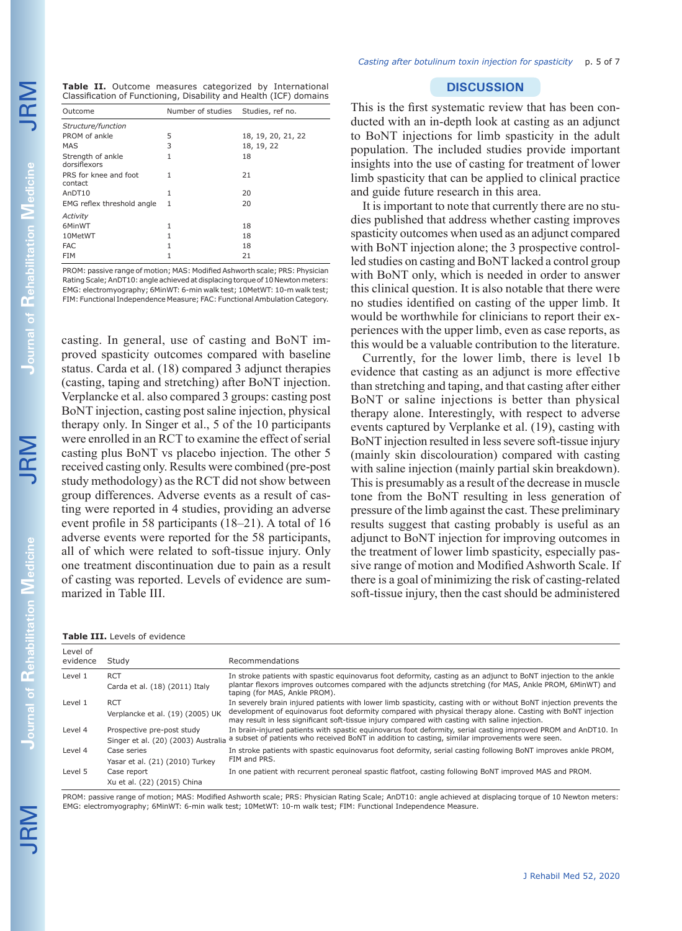**Journal of** 

JRM

|  |  |  | Table II. Outcome measures categorized by International            |
|--|--|--|--------------------------------------------------------------------|
|  |  |  | Classification of Functioning, Disability and Health (ICF) domains |

| Outcome                           | Number of studies | Studies, ref no.   |
|-----------------------------------|-------------------|--------------------|
| Structure/function                |                   |                    |
| PROM of ankle                     | 5                 | 18, 19, 20, 21, 22 |
| MAS                               | 3                 | 18, 19, 22         |
| Strength of ankle<br>dorsiflexors | 1                 | 18                 |
| PRS for knee and foot<br>contact  | 1                 | 21                 |
| AnDT10                            | 1                 | 20                 |
| EMG reflex threshold angle        | 1                 | 20                 |
| Activity                          |                   |                    |
| 6MinWT                            | 1                 | 18                 |
| 10MetWT                           | 1                 | 18                 |
| FAC.                              | 1                 | 18                 |
| <b>FIM</b>                        | 1                 | 21                 |

PROM: passive range of motion; MAS: Modified Ashworth scale; PRS: Physician Rating Scale; AnDT10: angle achieved at displacing torque of 10 Newton meters: EMG: electromyography; 6MinWT: 6-min walk test; 10MetWT: 10-m walk test; FIM: Functional Independence Measure; FAC: Functional Ambulation Category.

casting. In general, use of casting and BoNT improved spasticity outcomes compared with baseline status. Carda et al. (18) compared 3 adjunct therapies (casting, taping and stretching) after BoNT injection. Verplancke et al. also compared 3 groups: casting post BoNT injection, casting post saline injection, physical therapy only. In Singer et al., 5 of the 10 participants were enrolled in an RCT to examine the effect of serial casting plus BoNT vs placebo injection. The other 5 received casting only. Results were combined (pre-post study methodology) as the RCT did not show between group differences. Adverse events as a result of casting were reported in 4 studies, providing an adverse event profile in 58 participants (18–21). A total of 16 adverse events were reported for the 58 participants, all of which were related to soft-tissue injury. Only one treatment discontinuation due to pain as a result of casting was reported. Levels of evidence are summarized in Table III.

| Table III. Levels of evidence |  |
|-------------------------------|--|
|-------------------------------|--|

# **DISCUSSION**

This is the first systematic review that has been conducted with an in-depth look at casting as an adjunct to BoNT injections for limb spasticity in the adult population. The included studies provide important insights into the use of casting for treatment of lower limb spasticity that can be applied to clinical practice and guide future research in this area.

It is important to note that currently there are no studies published that address whether casting improves spasticity outcomes when used as an adjunct compared with BoNT injection alone; the 3 prospective controlled studies on casting and BoNT lacked a control group with BoNT only, which is needed in order to answer this clinical question. It is also notable that there were no studies identified on casting of the upper limb. It would be worthwhile for clinicians to report their experiences with the upper limb, even as case reports, as this would be a valuable contribution to the literature.

Currently, for the lower limb, there is level 1b evidence that casting as an adjunct is more effective than stretching and taping, and that casting after either BoNT or saline injections is better than physical therapy alone. Interestingly, with respect to adverse events captured by Verplanke et al. (19), casting with BoNT injection resulted in less severe soft-tissue injury (mainly skin discolouration) compared with casting with saline injection (mainly partial skin breakdown). This is presumably as a result of the decrease in muscle tone from the BoNT resulting in less generation of pressure of the limb against the cast. These preliminary results suggest that casting probably is useful as an adjunct to BoNT injection for improving outcomes in the treatment of lower limb spasticity, especially passive range of motion and Modified Ashworth Scale. If there is a goal of minimizing the risk of casting-related soft-tissue injury, then the cast should be administered

| Level of<br>evidence | Study                                          | Recommendations                                                                                                                                                                                                                                                                                                                     |
|----------------------|------------------------------------------------|-------------------------------------------------------------------------------------------------------------------------------------------------------------------------------------------------------------------------------------------------------------------------------------------------------------------------------------|
| Level 1              | <b>RCT</b><br>Carda et al. (18) (2011) Italy   | In stroke patients with spastic equinovarus foot deformity, casting as an adjunct to BoNT injection to the ankle<br>plantar flexors improves outcomes compared with the adjuncts stretching (for MAS, Ankle PROM, 6MinWT) and<br>taping (for MAS, Ankle PROM).                                                                      |
| Level 1              | <b>RCT</b><br>Verplancke et al. (19) (2005) UK | In severely brain injured patients with lower limb spasticity, casting with or without BoNT injection prevents the<br>development of equinovarus foot deformity compared with physical therapy alone. Casting with BoNT injection<br>may result in less significant soft-tissue injury compared with casting with saline injection. |
| Level 4              | Prospective pre-post study                     | In brain-injured patients with spastic equinovarus foot deformity, serial casting improved PROM and AnDT10. In<br>Singer et al. (20) (2003) Australia a subset of patients who received BoNT in addition to casting, similar improvements were seen.                                                                                |
| Level 4              | Case series<br>Yasar et al. (21) (2010) Turkey | In stroke patients with spastic equinovarus foot deformity, serial casting following BoNT improves ankle PROM,<br>FIM and PRS.                                                                                                                                                                                                      |
| Level 5              | Case report<br>Xu et al. (22) (2015) China     | In one patient with recurrent peroneal spastic flatfoot, casting following BoNT improved MAS and PROM.                                                                                                                                                                                                                              |
|                      |                                                |                                                                                                                                                                                                                                                                                                                                     |

PROM: passive range of motion; MAS: Modified Ashworth scale; PRS: Physician Rating Scale; AnDT10: angle achieved at displacing torque of 10 Newton meters: EMG: electromyography; 6MinWT: 6-min walk test; 10MetWT: 10-m walk test; FIM: Functional Independence Measure.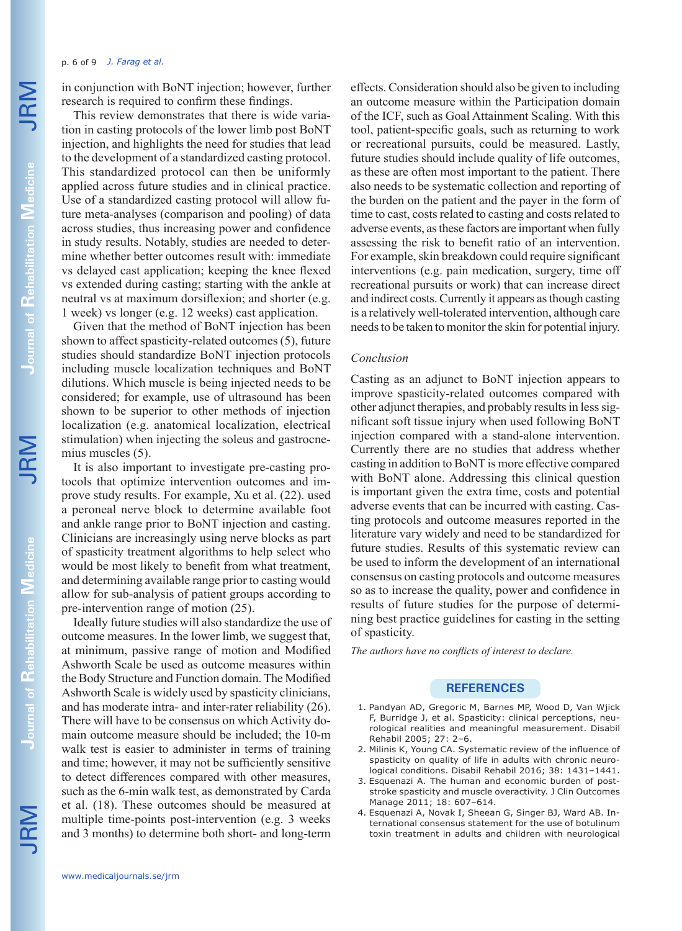#### p. 6 of 9 *J. Farag et al.*

in conjunction with BoNT injection; however, further research is required to confirm these findings.

This review demonstrates that there is wide variation in casting protocols of the lower limb post BoNT injection, and highlights the need for studies that lead to the development of a standardized casting protocol. This standardized protocol can then be uniformly applied across future studies and in clinical practice. Use of a standardized casting protocol will allow future meta-analyses (comparison and pooling) of data across studies, thus increasing power and confidence in study results. Notably, studies are needed to determine whether better outcomes result with: immediate vs delayed cast application; keeping the knee flexed vs extended during casting; starting with the ankle at neutral vs at maximum dorsiflexion; and shorter (e.g. 1 week) vs longer (e.g. 12 weeks) cast application.

Given that the method of BoNT injection has been shown to affect spasticity-related outcomes (5), future studies should standardize BoNT injection protocols including muscle localization techniques and BoNT dilutions. Which muscle is being injected needs to be considered; for example, use of ultrasound has been shown to be superior to other methods of injection localization (e.g. anatomical localization, electrical stimulation) when injecting the soleus and gastrocnemius muscles (5).

It is also important to investigate pre-casting protocols that optimize intervention outcomes and improve study results. For example, Xu et al. (22). used a peroneal nerve block to determine available foot and ankle range prior to BoNT injection and casting. Clinicians are increasingly using nerve blocks as part of spasticity treatment algorithms to help select who would be most likely to benefit from what treatment, and determining available range prior to casting would allow for sub-analysis of patient groups according to pre-intervention range of motion (25).

Ideally future studies will also standardize the use of outcome measures. In the lower limb, we suggest that, at minimum, passive range of motion and Modified Ashworth Scale be used as outcome measures within the Body Structure and Function domain. The Modified Ashworth Scale is widely used by spasticity clinicians, and has moderate intra- and inter-rater reliability (26). There will have to be consensus on which Activity domain outcome measure should be included; the 10-m walk test is easier to administer in terms of training and time; however, it may not be sufficiently sensitive to detect differences compared with other measures, such as the 6-min walk test, as demonstrated by Carda et al. (18). These outcomes should be measured at multiple time-points post-intervention (e.g. 3 weeks and 3 months) to determine both short- and long-term effects. Consideration should also be given to including an outcome measure within the Participation domain of the ICF, such as Goal Attainment Scaling. With this tool, patient-specific goals, such as returning to work or recreational pursuits, could be measured. Lastly, future studies should include quality of life outcomes, as these are often most important to the patient. There also needs to be systematic collection and reporting of the burden on the patient and the payer in the form of time to cast, costs related to casting and costs related to adverse events, as these factors are important when fully assessing the risk to benefit ratio of an intervention. For example, skin breakdown could require significant interventions (e.g. pain medication, surgery, time off recreational pursuits or work) that can increase direct and indirect costs. Currently it appears as though casting is a relatively well-tolerated intervention, although care needs to be taken to monitor the skin for potential injury.

# *Conclusion*

Casting as an adjunct to BoNT injection appears to improve spasticity-related outcomes compared with other adjunct therapies, and probably results in less significant soft tissue injury when used following BoNT injection compared with a stand-alone intervention. Currently there are no studies that address whether casting in addition to BoNT is more effective compared with BoNT alone. Addressing this clinical question is important given the extra time, costs and potential adverse events that can be incurred with casting. Casting protocols and outcome measures reported in the literature vary widely and need to be standardized for future studies. Results of this systematic review can be used to inform the development of an international consensus on casting protocols and outcome measures so as to increase the quality, power and confidence in results of future studies for the purpose of determining best practice guidelines for casting in the setting of spasticity.

*The authors have no conflicts of interest to declare.*

### **REFERENCES**

- 1. Pandyan AD, Gregoric M, Barnes MP, Wood D, Van Wjick F, Burridge J, et al. Spasticity: clinical perceptions, neurological realities and meaningful measurement. Disabil Rehabil 2005; 27: 2–6.
- 2. Milinis K, Young CA. Systematic review of the influence of spasticity on quality of life in adults with chronic neurological conditions. Disabil Rehabil 2016; 38: 1431–1441.
- 3. Esquenazi A. The human and economic burden of poststroke spasticity and muscle overactivity. J Clin Outcomes Manage 2011; 18: 607–614.
- 4. Esquenazi A, Novak I, Sheean G, Singer BJ, Ward AB. International consensus statement for the use of botulinum toxin treatment in adults and children with neurological

JRM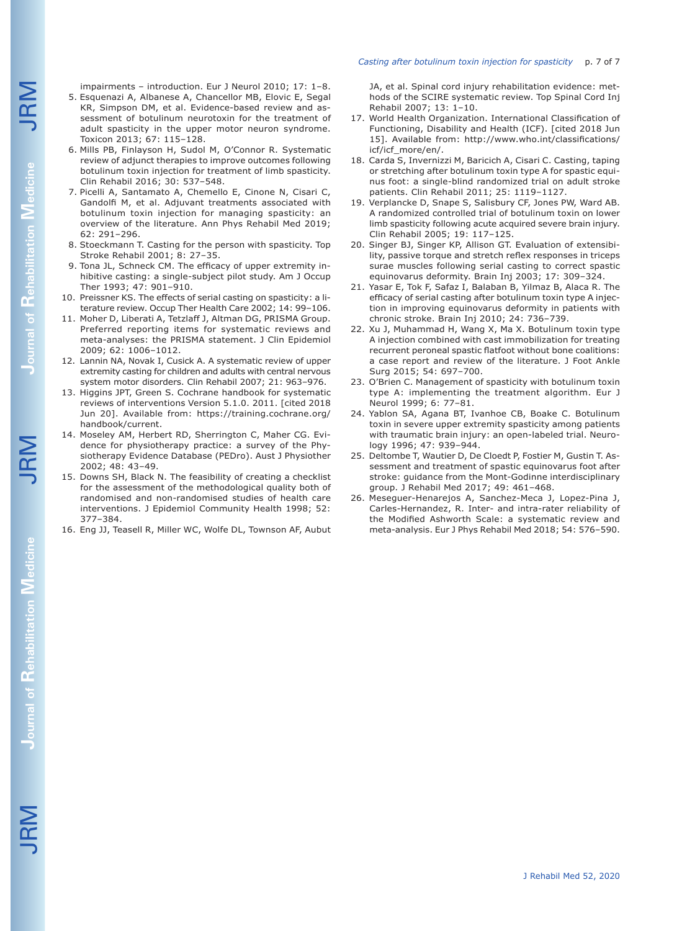JRM

impairments – introduction. Eur J Neurol 2010; 17: 1–8. 5. Esquenazi A, Albanese A, Chancellor MB, Elovic E, Segal KR, Simpson DM, et al. Evidence-based review and assessment of botulinum neurotoxin for the treatment of adult spasticity in the upper motor neuron syndrome.

- Toxicon 2013; 67: 115–128. 6. Mills PB, Finlayson H, Sudol M, O'Connor R. Systematic review of adjunct therapies to improve outcomes following botulinum toxin injection for treatment of limb spasticity. Clin Rehabil 2016; 30: 537–548.
- 7. Picelli A, Santamato A, Chemello E, Cinone N, Cisari C, Gandolfi M, et al. Adjuvant treatments associated with botulinum toxin injection for managing spasticity: an overview of the literature. Ann Phys Rehabil Med 2019; 62: 291–296.
- 8. Stoeckmann T. Casting for the person with spasticity. Top Stroke Rehabil 2001; 8: 27–35.
- 9. Tona JL, Schneck CM. The efficacy of upper extremity inhibitive casting: a single-subject pilot study. Am J Occup Ther 1993; 47: 901–910.
- 10. Preissner KS. The effects of serial casting on spasticity: a literature review. Occup Ther Health Care 2002; 14: 99–106.
- 11. Moher D, Liberati A, Tetzlaff J, Altman DG, PRISMA Group. Preferred reporting items for systematic reviews and meta-analyses: the PRISMA statement. J Clin Epidemiol 2009; 62: 1006–1012.
- 12. Lannin NA, Novak I, Cusick A. A systematic review of upper extremity casting for children and adults with central nervous system motor disorders. Clin Rehabil 2007; 21: 963–976.
- 13. Higgins JPT, Green S. Cochrane handbook for systematic reviews of interventions Version 5.1.0. 2011. [cited 2018 Jun 20]. Available from: https://training.cochrane.org/ handbook/current.
- 14. Moseley AM, Herbert RD, Sherrington C, Maher CG. Evidence for physiotherapy practice: a survey of the Physiotherapy Evidence Database (PEDro). Aust J Physiother 2002; 48: 43–49.
- 15. Downs SH, Black N. The feasibility of creating a checklist for the assessment of the methodological quality both of randomised and non-randomised studies of health care interventions. J Epidemiol Community Health 1998; 52: 377–384.
- 16. Eng JJ, Teasell R, Miller WC, Wolfe DL, Townson AF, Aubut

JA, et al. Spinal cord injury rehabilitation evidence: methods of the SCIRE systematic review. Top Spinal Cord Inj Rehabil 2007; 13: 1–10.

- 17. World Health Organization. International Classification of Functioning, Disability and Health (ICF). [cited 2018 Jun 15]. Available from: http://www.who.int/classifications/ icf/icf\_more/en/.
- 18. Carda S, Invernizzi M, Baricich A, Cisari C. Casting, taping or stretching after botulinum toxin type A for spastic equinus foot: a single-blind randomized trial on adult stroke patients. Clin Rehabil 2011; 25: 1119–1127.
- 19. Verplancke D, Snape S, Salisbury CF, Jones PW, Ward AB. A randomized controlled trial of botulinum toxin on lower limb spasticity following acute acquired severe brain injury. Clin Rehabil 2005; 19: 117–125.
- 20. Singer BJ, Singer KP, Allison GT. Evaluation of extensibility, passive torque and stretch reflex responses in triceps surae muscles following serial casting to correct spastic equinovarus deformity. Brain Inj 2003; 17: 309–324.
- 21. Yasar E, Tok F, Safaz I, Balaban B, Yilmaz B, Alaca R. The efficacy of serial casting after botulinum toxin type A injection in improving equinovarus deformity in patients with chronic stroke. Brain Inj 2010; 24: 736–739.
- 22. Xu J, Muhammad H, Wang X, Ma X. Botulinum toxin type A injection combined with cast immobilization for treating recurrent peroneal spastic flatfoot without bone coalitions: a case report and review of the literature. J Foot Ankle Surg 2015; 54: 697–700.
- 23. O'Brien C. Management of spasticity with botulinum toxin type A: implementing the treatment algorithm. Eur J Neurol 1999; 6: 77–81.
- 24. Yablon SA, Agana BT, Ivanhoe CB, Boake C. Botulinum toxin in severe upper extremity spasticity among patients with traumatic brain injury: an open-labeled trial. Neurology 1996; 47: 939–944.
- 25. Deltombe T, Wautier D, De Cloedt P, Fostier M, Gustin T. Assessment and treatment of spastic equinovarus foot after stroke: guidance from the Mont-Godinne interdisciplinary group. J Rehabil Med 2017; 49: 461–468.
- 26. Meseguer-Henarejos A, Sanchez-Meca J, Lopez-Pina J, Carles-Hernandez, R. Inter- and intra-rater reliability of the Modified Ashworth Scale: a systematic review and meta-analysis. Eur J Phys Rehabil Med 2018; 54: 576–590.